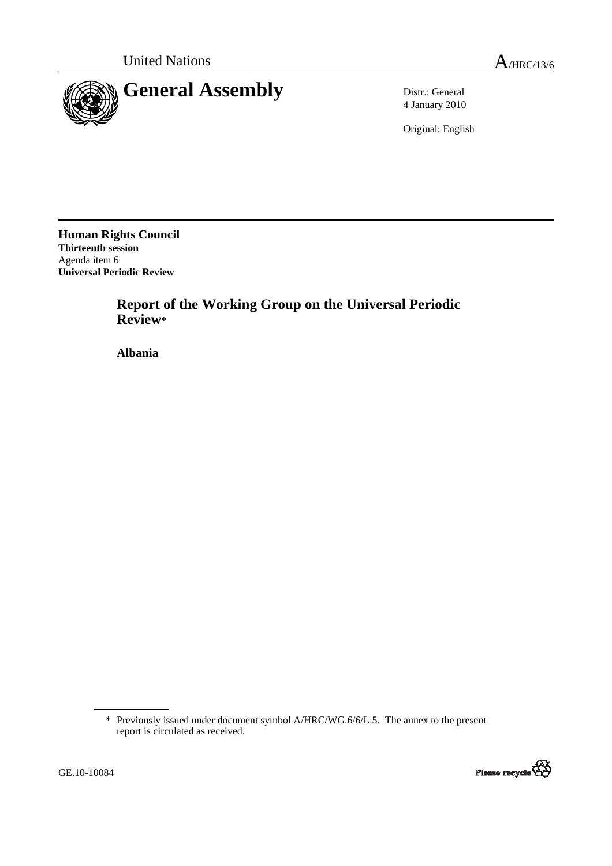

4 January 2010

Original: English

**Human Rights Council Thirteenth session**  Agenda item 6 **Universal Periodic Review** 

> **Report of the Working Group on the Universal Periodic Review\***

 **Albania** 

<sup>\*</sup> Previously issued under document symbol A/HRC/WG.6/6/L.5. The annex to the present report is circulated as received.

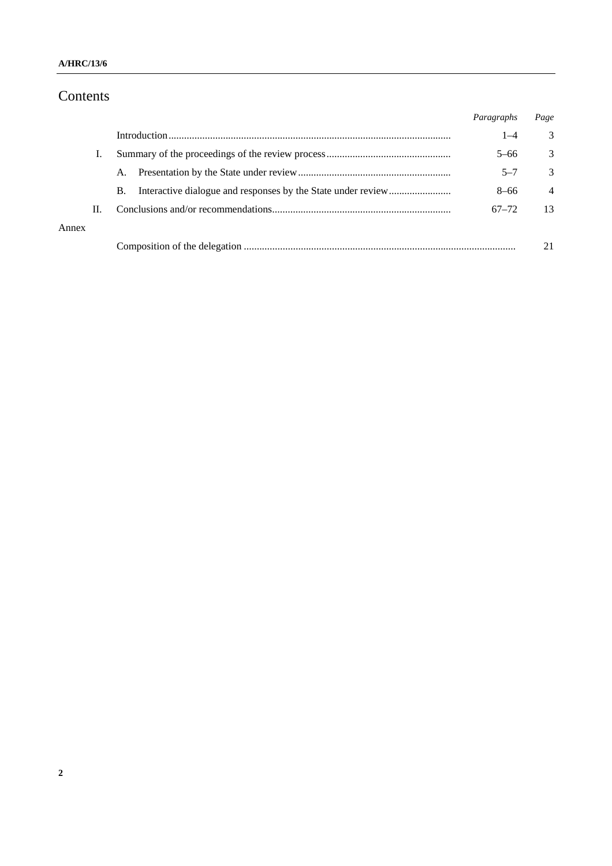### **A/HRC/13/6**

# Contents

|       |    |    | Paragraphs | Page           |
|-------|----|----|------------|----------------|
|       |    |    | $1 - 4$    | 3              |
|       |    |    | $5 - 66$   | 3              |
|       |    | А. | $5 - 7$    | 3              |
|       |    | В. | $8 - 66$   | $\overline{4}$ |
|       | Н. |    | $67 - 72$  | 13             |
| Annex |    |    |            |                |
|       |    |    |            |                |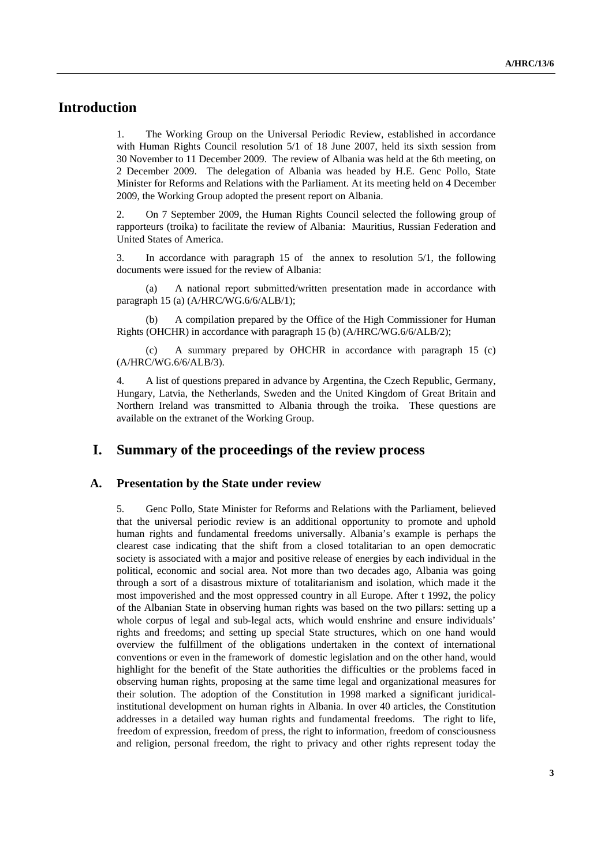# **Introduction**

1. The Working Group on the Universal Periodic Review, established in accordance with Human Rights Council resolution 5/1 of 18 June 2007, held its sixth session from 30 November to 11 December 2009. The review of Albania was held at the 6th meeting, on 2 December 2009. The delegation of Albania was headed by H.E. Genc Pollo, State Minister for Reforms and Relations with the Parliament. At its meeting held on 4 December 2009, the Working Group adopted the present report on Albania.

2. On 7 September 2009, the Human Rights Council selected the following group of rapporteurs (troika) to facilitate the review of Albania: Mauritius, Russian Federation and United States of America.

3. In accordance with paragraph 15 of the annex to resolution 5/1, the following documents were issued for the review of Albania:

 (a) A national report submitted/written presentation made in accordance with paragraph 15 (a) (A/HRC/WG.6/6/ALB/1);

A compilation prepared by the Office of the High Commissioner for Human Rights (OHCHR) in accordance with paragraph 15 (b) (A/HRC/WG.6/6/ALB/2);

 (c) A summary prepared by OHCHR in accordance with paragraph 15 (c) (A/HRC/WG.6/6/ALB/3).

4. A list of questions prepared in advance by Argentina, the Czech Republic, Germany, Hungary, Latvia, the Netherlands, Sweden and the United Kingdom of Great Britain and Northern Ireland was transmitted to Albania through the troika. These questions are available on the extranet of the Working Group.

# **I. Summary of the proceedings of the review process**

#### **A. Presentation by the State under review**

5. Genc Pollo, State Minister for Reforms and Relations with the Parliament, believed that the universal periodic review is an additional opportunity to promote and uphold human rights and fundamental freedoms universally. Albania's example is perhaps the clearest case indicating that the shift from a closed totalitarian to an open democratic society is associated with a major and positive release of energies by each individual in the political, economic and social area. Not more than two decades ago, Albania was going through a sort of a disastrous mixture of totalitarianism and isolation, which made it the most impoverished and the most oppressed country in all Europe. After t 1992, the policy of the Albanian State in observing human rights was based on the two pillars: setting up a whole corpus of legal and sub-legal acts, which would enshrine and ensure individuals' rights and freedoms; and setting up special State structures, which on one hand would overview the fulfillment of the obligations undertaken in the context of international conventions or even in the framework of domestic legislation and on the other hand, would highlight for the benefit of the State authorities the difficulties or the problems faced in observing human rights, proposing at the same time legal and organizational measures for their solution. The adoption of the Constitution in 1998 marked a significant juridicalinstitutional development on human rights in Albania. In over 40 articles, the Constitution addresses in a detailed way human rights and fundamental freedoms. The right to life, freedom of expression, freedom of press, the right to information, freedom of consciousness and religion, personal freedom, the right to privacy and other rights represent today the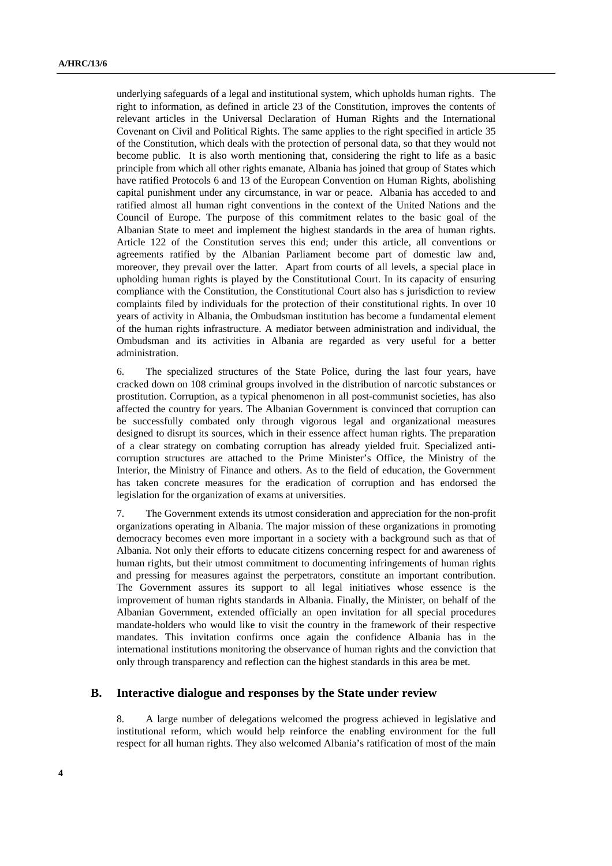underlying safeguards of a legal and institutional system, which upholds human rights. The right to information, as defined in article 23 of the Constitution, improves the contents of relevant articles in the Universal Declaration of Human Rights and the International Covenant on Civil and Political Rights. The same applies to the right specified in article 35 of the Constitution, which deals with the protection of personal data, so that they would not become public. It is also worth mentioning that, considering the right to life as a basic principle from which all other rights emanate, Albania has joined that group of States which have ratified Protocols 6 and 13 of the European Convention on Human Rights, abolishing capital punishment under any circumstance, in war or peace. Albania has acceded to and ratified almost all human right conventions in the context of the United Nations and the Council of Europe. The purpose of this commitment relates to the basic goal of the Albanian State to meet and implement the highest standards in the area of human rights. Article 122 of the Constitution serves this end; under this article, all conventions or agreements ratified by the Albanian Parliament become part of domestic law and, moreover, they prevail over the latter. Apart from courts of all levels, a special place in upholding human rights is played by the Constitutional Court. In its capacity of ensuring compliance with the Constitution, the Constitutional Court also has s jurisdiction to review complaints filed by individuals for the protection of their constitutional rights. In over 10 years of activity in Albania, the Ombudsman institution has become a fundamental element of the human rights infrastructure. A mediator between administration and individual, the Ombudsman and its activities in Albania are regarded as very useful for a better administration.

6. The specialized structures of the State Police, during the last four years, have cracked down on 108 criminal groups involved in the distribution of narcotic substances or prostitution. Corruption, as a typical phenomenon in all post-communist societies, has also affected the country for years. The Albanian Government is convinced that corruption can be successfully combated only through vigorous legal and organizational measures designed to disrupt its sources, which in their essence affect human rights. The preparation of a clear strategy on combating corruption has already yielded fruit. Specialized anticorruption structures are attached to the Prime Minister's Office, the Ministry of the Interior, the Ministry of Finance and others. As to the field of education, the Government has taken concrete measures for the eradication of corruption and has endorsed the legislation for the organization of exams at universities.

7. The Government extends its utmost consideration and appreciation for the non-profit organizations operating in Albania. The major mission of these organizations in promoting democracy becomes even more important in a society with a background such as that of Albania. Not only their efforts to educate citizens concerning respect for and awareness of human rights, but their utmost commitment to documenting infringements of human rights and pressing for measures against the perpetrators, constitute an important contribution. The Government assures its support to all legal initiatives whose essence is the improvement of human rights standards in Albania. Finally, the Minister, on behalf of the Albanian Government, extended officially an open invitation for all special procedures mandate-holders who would like to visit the country in the framework of their respective mandates. This invitation confirms once again the confidence Albania has in the international institutions monitoring the observance of human rights and the conviction that only through transparency and reflection can the highest standards in this area be met.

### **B. Interactive dialogue and responses by the State under review**

8. A large number of delegations welcomed the progress achieved in legislative and institutional reform, which would help reinforce the enabling environment for the full respect for all human rights. They also welcomed Albania's ratification of most of the main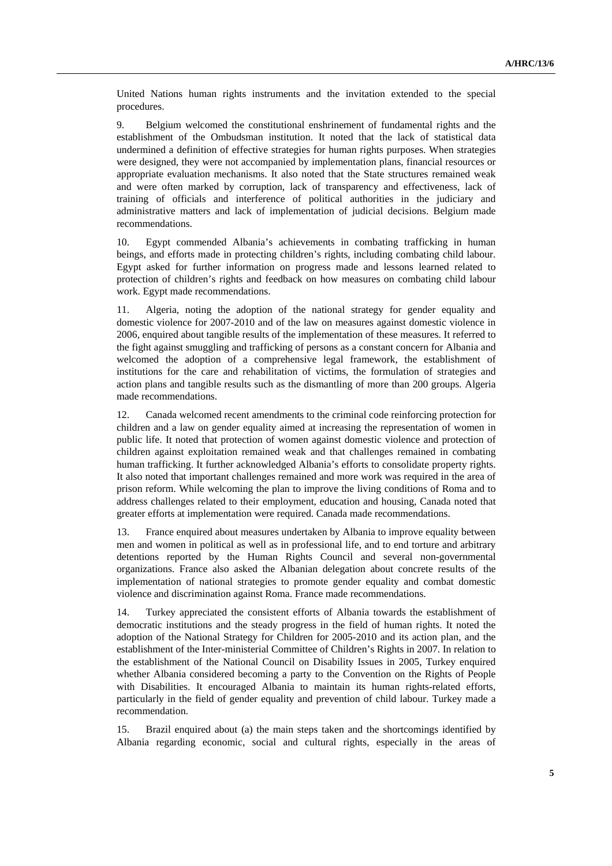United Nations human rights instruments and the invitation extended to the special procedures.

9. Belgium welcomed the constitutional enshrinement of fundamental rights and the establishment of the Ombudsman institution. It noted that the lack of statistical data undermined a definition of effective strategies for human rights purposes. When strategies were designed, they were not accompanied by implementation plans, financial resources or appropriate evaluation mechanisms. It also noted that the State structures remained weak and were often marked by corruption, lack of transparency and effectiveness, lack of training of officials and interference of political authorities in the judiciary and administrative matters and lack of implementation of judicial decisions. Belgium made recommendations.

10. Egypt commended Albania's achievements in combating trafficking in human beings, and efforts made in protecting children's rights, including combating child labour. Egypt asked for further information on progress made and lessons learned related to protection of children's rights and feedback on how measures on combating child labour work. Egypt made recommendations.

11. Algeria, noting the adoption of the national strategy for gender equality and domestic violence for 2007-2010 and of the law on measures against domestic violence in 2006, enquired about tangible results of the implementation of these measures. It referred to the fight against smuggling and trafficking of persons as a constant concern for Albania and welcomed the adoption of a comprehensive legal framework, the establishment of institutions for the care and rehabilitation of victims, the formulation of strategies and action plans and tangible results such as the dismantling of more than 200 groups. Algeria made recommendations.

12. Canada welcomed recent amendments to the criminal code reinforcing protection for children and a law on gender equality aimed at increasing the representation of women in public life. It noted that protection of women against domestic violence and protection of children against exploitation remained weak and that challenges remained in combating human trafficking. It further acknowledged Albania's efforts to consolidate property rights. It also noted that important challenges remained and more work was required in the area of prison reform. While welcoming the plan to improve the living conditions of Roma and to address challenges related to their employment, education and housing, Canada noted that greater efforts at implementation were required. Canada made recommendations.

13. France enquired about measures undertaken by Albania to improve equality between men and women in political as well as in professional life, and to end torture and arbitrary detentions reported by the Human Rights Council and several non-governmental organizations. France also asked the Albanian delegation about concrete results of the implementation of national strategies to promote gender equality and combat domestic violence and discrimination against Roma. France made recommendations.

14. Turkey appreciated the consistent efforts of Albania towards the establishment of democratic institutions and the steady progress in the field of human rights. It noted the adoption of the National Strategy for Children for 2005-2010 and its action plan, and the establishment of the Inter-ministerial Committee of Children's Rights in 2007. In relation to the establishment of the National Council on Disability Issues in 2005, Turkey enquired whether Albania considered becoming a party to the Convention on the Rights of People with Disabilities. It encouraged Albania to maintain its human rights-related efforts, particularly in the field of gender equality and prevention of child labour. Turkey made a recommendation.

15. Brazil enquired about (a) the main steps taken and the shortcomings identified by Albania regarding economic, social and cultural rights, especially in the areas of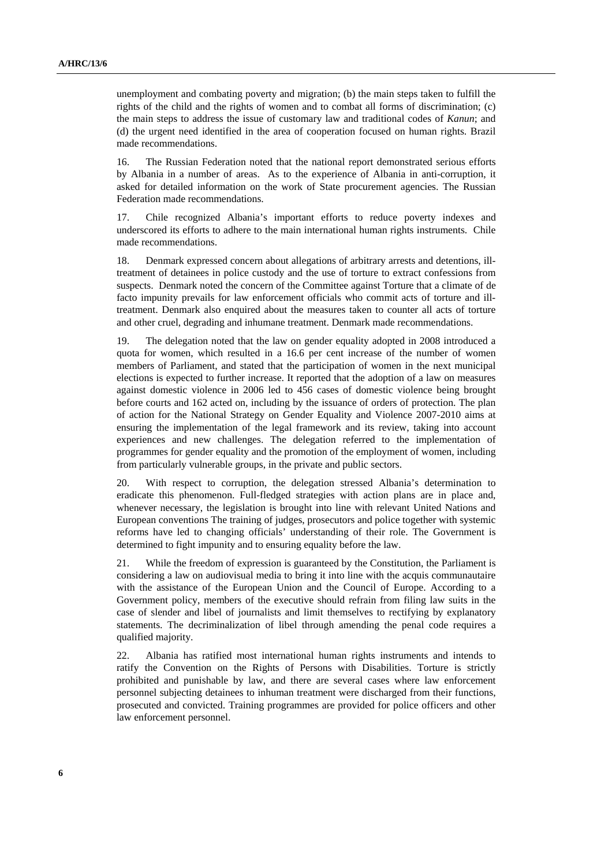unemployment and combating poverty and migration; (b) the main steps taken to fulfill the rights of the child and the rights of women and to combat all forms of discrimination; (c) the main steps to address the issue of customary law and traditional codes of *Kanun*; and (d) the urgent need identified in the area of cooperation focused on human rights. Brazil made recommendations.

16. The Russian Federation noted that the national report demonstrated serious efforts by Albania in a number of areas. As to the experience of Albania in anti-corruption, it asked for detailed information on the work of State procurement agencies. The Russian Federation made recommendations.

17. Chile recognized Albania's important efforts to reduce poverty indexes and underscored its efforts to adhere to the main international human rights instruments. Chile made recommendations.

18. Denmark expressed concern about allegations of arbitrary arrests and detentions, illtreatment of detainees in police custody and the use of torture to extract confessions from suspects. Denmark noted the concern of the Committee against Torture that a climate of de facto impunity prevails for law enforcement officials who commit acts of torture and illtreatment. Denmark also enquired about the measures taken to counter all acts of torture and other cruel, degrading and inhumane treatment. Denmark made recommendations.

19. The delegation noted that the law on gender equality adopted in 2008 introduced a quota for women, which resulted in a 16.6 per cent increase of the number of women members of Parliament, and stated that the participation of women in the next municipal elections is expected to further increase. It reported that the adoption of a law on measures against domestic violence in 2006 led to 456 cases of domestic violence being brought before courts and 162 acted on, including by the issuance of orders of protection. The plan of action for the National Strategy on Gender Equality and Violence 2007-2010 aims at ensuring the implementation of the legal framework and its review, taking into account experiences and new challenges. The delegation referred to the implementation of programmes for gender equality and the promotion of the employment of women, including from particularly vulnerable groups, in the private and public sectors.

20. With respect to corruption, the delegation stressed Albania's determination to eradicate this phenomenon. Full-fledged strategies with action plans are in place and, whenever necessary, the legislation is brought into line with relevant United Nations and European conventions The training of judges, prosecutors and police together with systemic reforms have led to changing officials' understanding of their role. The Government is determined to fight impunity and to ensuring equality before the law.

21. While the freedom of expression is guaranteed by the Constitution, the Parliament is considering a law on audiovisual media to bring it into line with the acquis communautaire with the assistance of the European Union and the Council of Europe. According to a Government policy, members of the executive should refrain from filing law suits in the case of slender and libel of journalists and limit themselves to rectifying by explanatory statements. The decriminalization of libel through amending the penal code requires a qualified majority.

22. Albania has ratified most international human rights instruments and intends to ratify the Convention on the Rights of Persons with Disabilities. Torture is strictly prohibited and punishable by law, and there are several cases where law enforcement personnel subjecting detainees to inhuman treatment were discharged from their functions, prosecuted and convicted. Training programmes are provided for police officers and other law enforcement personnel.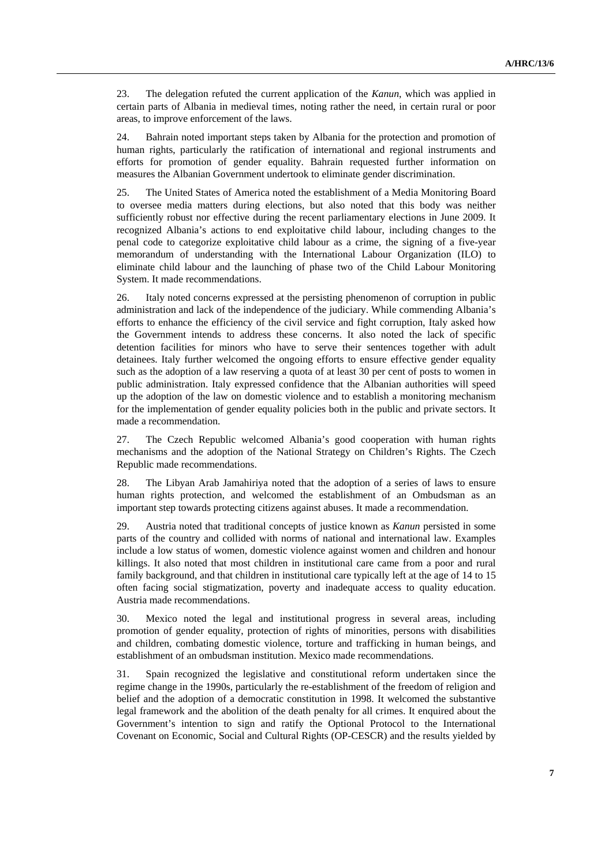23. The delegation refuted the current application of the *Kanun*, which was applied in certain parts of Albania in medieval times, noting rather the need, in certain rural or poor areas, to improve enforcement of the laws.

24. Bahrain noted important steps taken by Albania for the protection and promotion of human rights, particularly the ratification of international and regional instruments and efforts for promotion of gender equality. Bahrain requested further information on measures the Albanian Government undertook to eliminate gender discrimination.

25. The United States of America noted the establishment of a Media Monitoring Board to oversee media matters during elections, but also noted that this body was neither sufficiently robust nor effective during the recent parliamentary elections in June 2009. It recognized Albania's actions to end exploitative child labour, including changes to the penal code to categorize exploitative child labour as a crime, the signing of a five-year memorandum of understanding with the International Labour Organization (ILO) to eliminate child labour and the launching of phase two of the Child Labour Monitoring System. It made recommendations.

26. Italy noted concerns expressed at the persisting phenomenon of corruption in public administration and lack of the independence of the judiciary. While commending Albania's efforts to enhance the efficiency of the civil service and fight corruption, Italy asked how the Government intends to address these concerns. It also noted the lack of specific detention facilities for minors who have to serve their sentences together with adult detainees. Italy further welcomed the ongoing efforts to ensure effective gender equality such as the adoption of a law reserving a quota of at least 30 per cent of posts to women in public administration. Italy expressed confidence that the Albanian authorities will speed up the adoption of the law on domestic violence and to establish a monitoring mechanism for the implementation of gender equality policies both in the public and private sectors. It made a recommendation.

27. The Czech Republic welcomed Albania's good cooperation with human rights mechanisms and the adoption of the National Strategy on Children's Rights. The Czech Republic made recommendations.

28. The Libyan Arab Jamahiriya noted that the adoption of a series of laws to ensure human rights protection, and welcomed the establishment of an Ombudsman as an important step towards protecting citizens against abuses. It made a recommendation.

29. Austria noted that traditional concepts of justice known as *Kanun* persisted in some parts of the country and collided with norms of national and international law. Examples include a low status of women, domestic violence against women and children and honour killings. It also noted that most children in institutional care came from a poor and rural family background, and that children in institutional care typically left at the age of 14 to 15 often facing social stigmatization, poverty and inadequate access to quality education. Austria made recommendations.

30. Mexico noted the legal and institutional progress in several areas, including promotion of gender equality, protection of rights of minorities, persons with disabilities and children, combating domestic violence, torture and trafficking in human beings, and establishment of an ombudsman institution. Mexico made recommendations.

31. Spain recognized the legislative and constitutional reform undertaken since the regime change in the 1990s, particularly the re-establishment of the freedom of religion and belief and the adoption of a democratic constitution in 1998. It welcomed the substantive legal framework and the abolition of the death penalty for all crimes. It enquired about the Government's intention to sign and ratify the Optional Protocol to the International Covenant on Economic, Social and Cultural Rights (OP-CESCR) and the results yielded by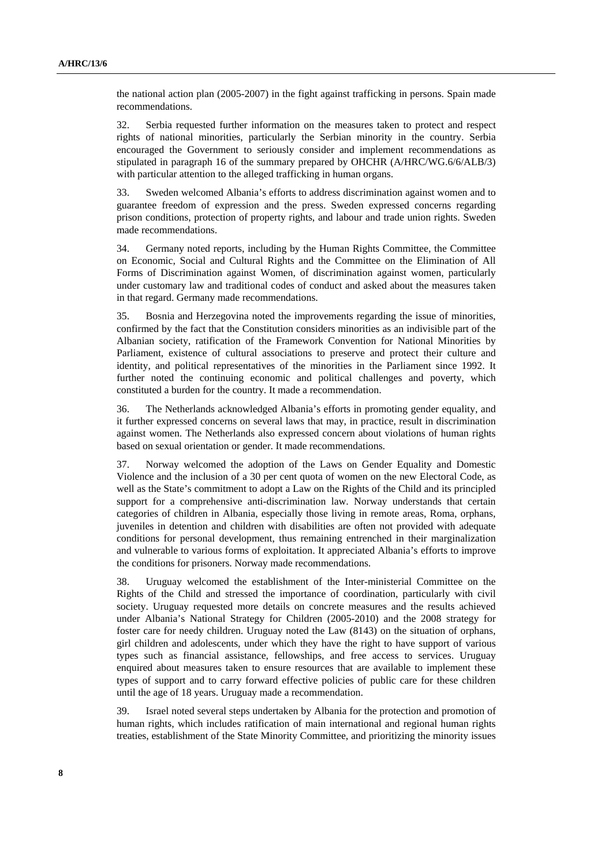the national action plan (2005-2007) in the fight against trafficking in persons. Spain made recommendations.

32. Serbia requested further information on the measures taken to protect and respect rights of national minorities, particularly the Serbian minority in the country. Serbia encouraged the Government to seriously consider and implement recommendations as stipulated in paragraph 16 of the summary prepared by OHCHR (A/HRC/WG.6/6/ALB/3) with particular attention to the alleged trafficking in human organs.

33. Sweden welcomed Albania's efforts to address discrimination against women and to guarantee freedom of expression and the press. Sweden expressed concerns regarding prison conditions, protection of property rights, and labour and trade union rights. Sweden made recommendations.

34. Germany noted reports, including by the Human Rights Committee, the Committee on Economic, Social and Cultural Rights and the Committee on the Elimination of All Forms of Discrimination against Women, of discrimination against women, particularly under customary law and traditional codes of conduct and asked about the measures taken in that regard. Germany made recommendations.

35. Bosnia and Herzegovina noted the improvements regarding the issue of minorities, confirmed by the fact that the Constitution considers minorities as an indivisible part of the Albanian society, ratification of the Framework Convention for National Minorities by Parliament, existence of cultural associations to preserve and protect their culture and identity, and political representatives of the minorities in the Parliament since 1992. It further noted the continuing economic and political challenges and poverty, which constituted a burden for the country. It made a recommendation.

36. The Netherlands acknowledged Albania's efforts in promoting gender equality, and it further expressed concerns on several laws that may, in practice, result in discrimination against women. The Netherlands also expressed concern about violations of human rights based on sexual orientation or gender. It made recommendations.

37. Norway welcomed the adoption of the Laws on Gender Equality and Domestic Violence and the inclusion of a 30 per cent quota of women on the new Electoral Code, as well as the State's commitment to adopt a Law on the Rights of the Child and its principled support for a comprehensive anti-discrimination law. Norway understands that certain categories of children in Albania, especially those living in remote areas, Roma, orphans, juveniles in detention and children with disabilities are often not provided with adequate conditions for personal development, thus remaining entrenched in their marginalization and vulnerable to various forms of exploitation. It appreciated Albania's efforts to improve the conditions for prisoners. Norway made recommendations.

38. Uruguay welcomed the establishment of the Inter-ministerial Committee on the Rights of the Child and stressed the importance of coordination, particularly with civil society. Uruguay requested more details on concrete measures and the results achieved under Albania's National Strategy for Children (2005-2010) and the 2008 strategy for foster care for needy children. Uruguay noted the Law (8143) on the situation of orphans, girl children and adolescents, under which they have the right to have support of various types such as financial assistance, fellowships, and free access to services. Uruguay enquired about measures taken to ensure resources that are available to implement these types of support and to carry forward effective policies of public care for these children until the age of 18 years. Uruguay made a recommendation.

39. Israel noted several steps undertaken by Albania for the protection and promotion of human rights, which includes ratification of main international and regional human rights treaties, establishment of the State Minority Committee, and prioritizing the minority issues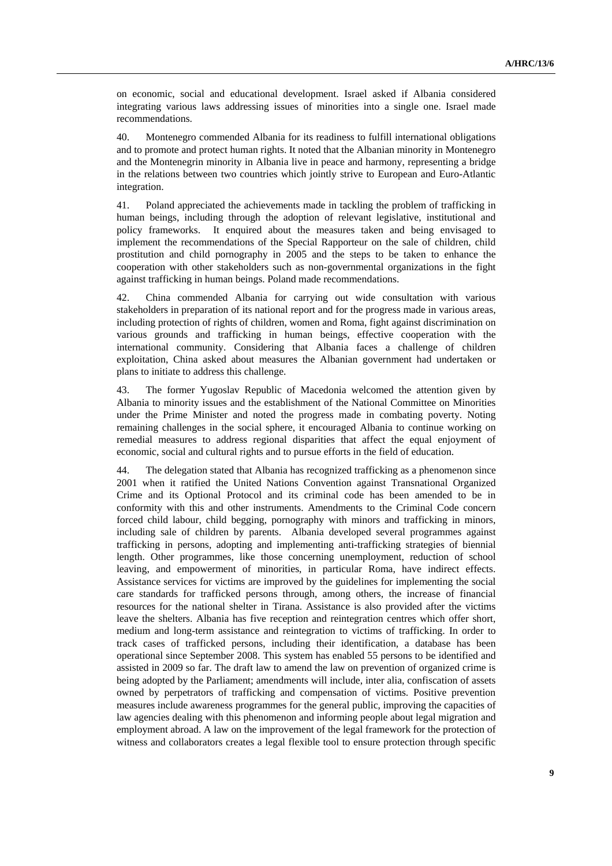on economic, social and educational development. Israel asked if Albania considered integrating various laws addressing issues of minorities into a single one. Israel made recommendations.

40. Montenegro commended Albania for its readiness to fulfill international obligations and to promote and protect human rights. It noted that the Albanian minority in Montenegro and the Montenegrin minority in Albania live in peace and harmony, representing a bridge in the relations between two countries which jointly strive to European and Euro-Atlantic integration.

41. Poland appreciated the achievements made in tackling the problem of trafficking in human beings, including through the adoption of relevant legislative, institutional and policy frameworks. It enquired about the measures taken and being envisaged to implement the recommendations of the Special Rapporteur on the sale of children, child prostitution and child pornography in 2005 and the steps to be taken to enhance the cooperation with other stakeholders such as non-governmental organizations in the fight against trafficking in human beings. Poland made recommendations.

42. China commended Albania for carrying out wide consultation with various stakeholders in preparation of its national report and for the progress made in various areas, including protection of rights of children, women and Roma, fight against discrimination on various grounds and trafficking in human beings, effective cooperation with the international community. Considering that Albania faces a challenge of children exploitation, China asked about measures the Albanian government had undertaken or plans to initiate to address this challenge.

43. The former Yugoslav Republic of Macedonia welcomed the attention given by Albania to minority issues and the establishment of the National Committee on Minorities under the Prime Minister and noted the progress made in combating poverty. Noting remaining challenges in the social sphere, it encouraged Albania to continue working on remedial measures to address regional disparities that affect the equal enjoyment of economic, social and cultural rights and to pursue efforts in the field of education.

44. The delegation stated that Albania has recognized trafficking as a phenomenon since 2001 when it ratified the United Nations Convention against Transnational Organized Crime and its Optional Protocol and its criminal code has been amended to be in conformity with this and other instruments. Amendments to the Criminal Code concern forced child labour, child begging, pornography with minors and trafficking in minors, including sale of children by parents. Albania developed several programmes against trafficking in persons, adopting and implementing anti-trafficking strategies of biennial length. Other programmes, like those concerning unemployment, reduction of school leaving, and empowerment of minorities, in particular Roma, have indirect effects. Assistance services for victims are improved by the guidelines for implementing the social care standards for trafficked persons through, among others, the increase of financial resources for the national shelter in Tirana. Assistance is also provided after the victims leave the shelters. Albania has five reception and reintegration centres which offer short, medium and long-term assistance and reintegration to victims of trafficking. In order to track cases of trafficked persons, including their identification, a database has been operational since September 2008. This system has enabled 55 persons to be identified and assisted in 2009 so far. The draft law to amend the law on prevention of organized crime is being adopted by the Parliament; amendments will include, inter alia, confiscation of assets owned by perpetrators of trafficking and compensation of victims. Positive prevention measures include awareness programmes for the general public, improving the capacities of law agencies dealing with this phenomenon and informing people about legal migration and employment abroad. A law on the improvement of the legal framework for the protection of witness and collaborators creates a legal flexible tool to ensure protection through specific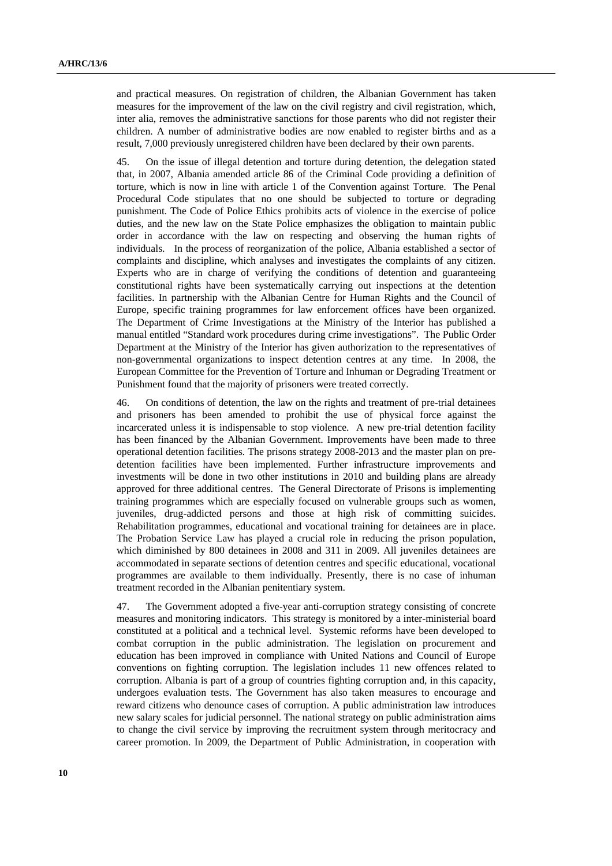and practical measures. On registration of children, the Albanian Government has taken measures for the improvement of the law on the civil registry and civil registration, which, inter alia, removes the administrative sanctions for those parents who did not register their children. A number of administrative bodies are now enabled to register births and as a result, 7,000 previously unregistered children have been declared by their own parents.

45. On the issue of illegal detention and torture during detention, the delegation stated that, in 2007, Albania amended article 86 of the Criminal Code providing a definition of torture, which is now in line with article 1 of the Convention against Torture. The Penal Procedural Code stipulates that no one should be subjected to torture or degrading punishment. The Code of Police Ethics prohibits acts of violence in the exercise of police duties, and the new law on the State Police emphasizes the obligation to maintain public order in accordance with the law on respecting and observing the human rights of individuals. In the process of reorganization of the police, Albania established a sector of complaints and discipline, which analyses and investigates the complaints of any citizen. Experts who are in charge of verifying the conditions of detention and guaranteeing constitutional rights have been systematically carrying out inspections at the detention facilities. In partnership with the Albanian Centre for Human Rights and the Council of Europe, specific training programmes for law enforcement offices have been organized. The Department of Crime Investigations at the Ministry of the Interior has published a manual entitled "Standard work procedures during crime investigations". The Public Order Department at the Ministry of the Interior has given authorization to the representatives of non-governmental organizations to inspect detention centres at any time. In 2008, the European Committee for the Prevention of Torture and Inhuman or Degrading Treatment or Punishment found that the majority of prisoners were treated correctly.

46. On conditions of detention, the law on the rights and treatment of pre-trial detainees and prisoners has been amended to prohibit the use of physical force against the incarcerated unless it is indispensable to stop violence. A new pre-trial detention facility has been financed by the Albanian Government. Improvements have been made to three operational detention facilities. The prisons strategy 2008-2013 and the master plan on predetention facilities have been implemented. Further infrastructure improvements and investments will be done in two other institutions in 2010 and building plans are already approved for three additional centres. The General Directorate of Prisons is implementing training programmes which are especially focused on vulnerable groups such as women, juveniles, drug-addicted persons and those at high risk of committing suicides. Rehabilitation programmes, educational and vocational training for detainees are in place. The Probation Service Law has played a crucial role in reducing the prison population, which diminished by 800 detainees in 2008 and 311 in 2009. All juveniles detainees are accommodated in separate sections of detention centres and specific educational, vocational programmes are available to them individually. Presently, there is no case of inhuman treatment recorded in the Albanian penitentiary system.

47. The Government adopted a five-year anti-corruption strategy consisting of concrete measures and monitoring indicators. This strategy is monitored by a inter-ministerial board constituted at a political and a technical level. Systemic reforms have been developed to combat corruption in the public administration. The legislation on procurement and education has been improved in compliance with United Nations and Council of Europe conventions on fighting corruption. The legislation includes 11 new offences related to corruption. Albania is part of a group of countries fighting corruption and, in this capacity, undergoes evaluation tests. The Government has also taken measures to encourage and reward citizens who denounce cases of corruption. A public administration law introduces new salary scales for judicial personnel. The national strategy on public administration aims to change the civil service by improving the recruitment system through meritocracy and career promotion. In 2009, the Department of Public Administration, in cooperation with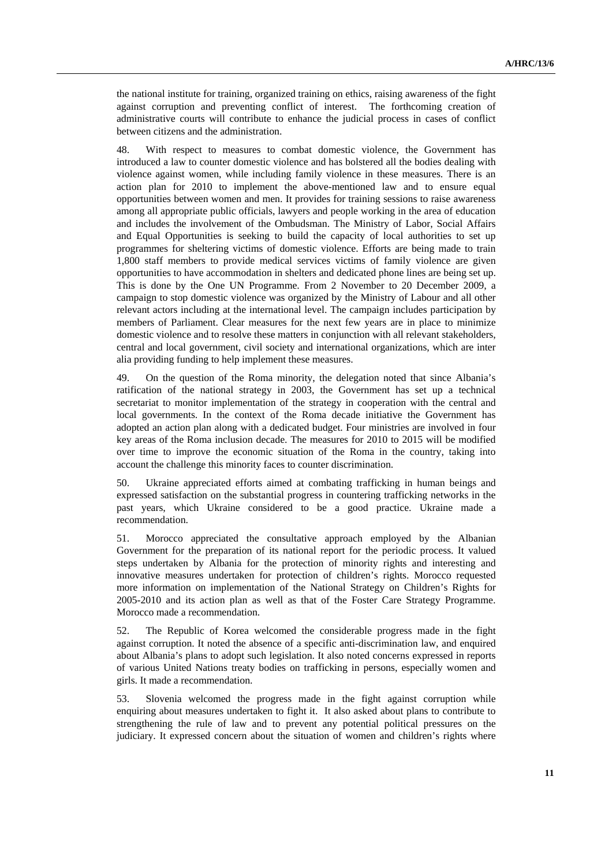the national institute for training, organized training on ethics, raising awareness of the fight against corruption and preventing conflict of interest. The forthcoming creation of administrative courts will contribute to enhance the judicial process in cases of conflict between citizens and the administration.

48. With respect to measures to combat domestic violence, the Government has introduced a law to counter domestic violence and has bolstered all the bodies dealing with violence against women, while including family violence in these measures. There is an action plan for 2010 to implement the above-mentioned law and to ensure equal opportunities between women and men. It provides for training sessions to raise awareness among all appropriate public officials, lawyers and people working in the area of education and includes the involvement of the Ombudsman. The Ministry of Labor, Social Affairs and Equal Opportunities is seeking to build the capacity of local authorities to set up programmes for sheltering victims of domestic violence. Efforts are being made to train 1,800 staff members to provide medical services victims of family violence are given opportunities to have accommodation in shelters and dedicated phone lines are being set up. This is done by the One UN Programme. From 2 November to 20 December 2009, a campaign to stop domestic violence was organized by the Ministry of Labour and all other relevant actors including at the international level. The campaign includes participation by members of Parliament. Clear measures for the next few years are in place to minimize domestic violence and to resolve these matters in conjunction with all relevant stakeholders, central and local government, civil society and international organizations, which are inter alia providing funding to help implement these measures.

49. On the question of the Roma minority, the delegation noted that since Albania's ratification of the national strategy in 2003, the Government has set up a technical secretariat to monitor implementation of the strategy in cooperation with the central and local governments. In the context of the Roma decade initiative the Government has adopted an action plan along with a dedicated budget. Four ministries are involved in four key areas of the Roma inclusion decade. The measures for 2010 to 2015 will be modified over time to improve the economic situation of the Roma in the country, taking into account the challenge this minority faces to counter discrimination.

50. Ukraine appreciated efforts aimed at combating trafficking in human beings and expressed satisfaction on the substantial progress in countering trafficking networks in the past years, which Ukraine considered to be a good practice. Ukraine made a recommendation.

51. Morocco appreciated the consultative approach employed by the Albanian Government for the preparation of its national report for the periodic process. It valued steps undertaken by Albania for the protection of minority rights and interesting and innovative measures undertaken for protection of children's rights. Morocco requested more information on implementation of the National Strategy on Children's Rights for 2005-2010 and its action plan as well as that of the Foster Care Strategy Programme. Morocco made a recommendation.

52. The Republic of Korea welcomed the considerable progress made in the fight against corruption. It noted the absence of a specific anti-discrimination law, and enquired about Albania's plans to adopt such legislation. It also noted concerns expressed in reports of various United Nations treaty bodies on trafficking in persons, especially women and girls. It made a recommendation.

53. Slovenia welcomed the progress made in the fight against corruption while enquiring about measures undertaken to fight it. It also asked about plans to contribute to strengthening the rule of law and to prevent any potential political pressures on the judiciary. It expressed concern about the situation of women and children's rights where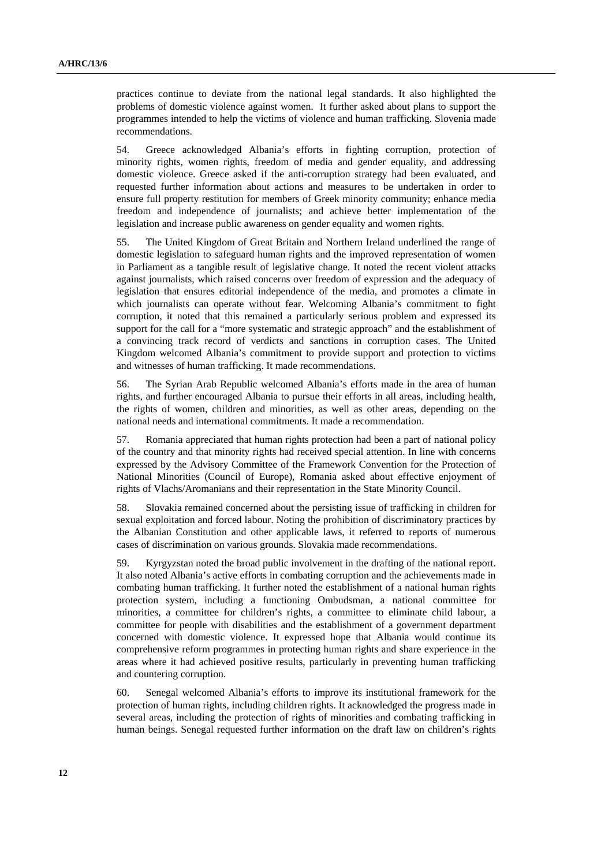practices continue to deviate from the national legal standards. It also highlighted the problems of domestic violence against women. It further asked about plans to support the programmes intended to help the victims of violence and human trafficking. Slovenia made recommendations.

54. Greece acknowledged Albania's efforts in fighting corruption, protection of minority rights, women rights, freedom of media and gender equality, and addressing domestic violence. Greece asked if the anti-corruption strategy had been evaluated, and requested further information about actions and measures to be undertaken in order to ensure full property restitution for members of Greek minority community; enhance media freedom and independence of journalists; and achieve better implementation of the legislation and increase public awareness on gender equality and women rights.

55. The United Kingdom of Great Britain and Northern Ireland underlined the range of domestic legislation to safeguard human rights and the improved representation of women in Parliament as a tangible result of legislative change. It noted the recent violent attacks against journalists, which raised concerns over freedom of expression and the adequacy of legislation that ensures editorial independence of the media, and promotes a climate in which journalists can operate without fear. Welcoming Albania's commitment to fight corruption, it noted that this remained a particularly serious problem and expressed its support for the call for a "more systematic and strategic approach" and the establishment of a convincing track record of verdicts and sanctions in corruption cases. The United Kingdom welcomed Albania's commitment to provide support and protection to victims and witnesses of human trafficking. It made recommendations.

56. The Syrian Arab Republic welcomed Albania's efforts made in the area of human rights, and further encouraged Albania to pursue their efforts in all areas, including health, the rights of women, children and minorities, as well as other areas, depending on the national needs and international commitments. It made a recommendation.

57. Romania appreciated that human rights protection had been a part of national policy of the country and that minority rights had received special attention. In line with concerns expressed by the Advisory Committee of the Framework Convention for the Protection of National Minorities (Council of Europe), Romania asked about effective enjoyment of rights of Vlachs/Aromanians and their representation in the State Minority Council.

58. Slovakia remained concerned about the persisting issue of trafficking in children for sexual exploitation and forced labour. Noting the prohibition of discriminatory practices by the Albanian Constitution and other applicable laws, it referred to reports of numerous cases of discrimination on various grounds. Slovakia made recommendations.

59. Kyrgyzstan noted the broad public involvement in the drafting of the national report. It also noted Albania's active efforts in combating corruption and the achievements made in combating human trafficking. It further noted the establishment of a national human rights protection system, including a functioning Ombudsman, a national committee for minorities, a committee for children's rights, a committee to eliminate child labour, a committee for people with disabilities and the establishment of a government department concerned with domestic violence. It expressed hope that Albania would continue its comprehensive reform programmes in protecting human rights and share experience in the areas where it had achieved positive results, particularly in preventing human trafficking and countering corruption.

60. Senegal welcomed Albania's efforts to improve its institutional framework for the protection of human rights, including children rights. It acknowledged the progress made in several areas, including the protection of rights of minorities and combating trafficking in human beings. Senegal requested further information on the draft law on children's rights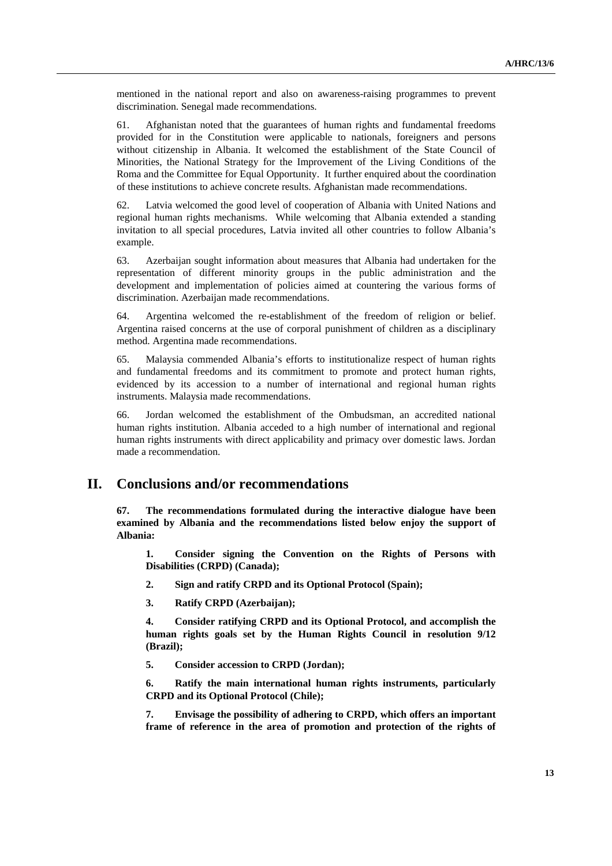mentioned in the national report and also on awareness-raising programmes to prevent discrimination. Senegal made recommendations.

61. Afghanistan noted that the guarantees of human rights and fundamental freedoms provided for in the Constitution were applicable to nationals, foreigners and persons without citizenship in Albania. It welcomed the establishment of the State Council of Minorities, the National Strategy for the Improvement of the Living Conditions of the Roma and the Committee for Equal Opportunity. It further enquired about the coordination of these institutions to achieve concrete results. Afghanistan made recommendations.

62. Latvia welcomed the good level of cooperation of Albania with United Nations and regional human rights mechanisms. While welcoming that Albania extended a standing invitation to all special procedures, Latvia invited all other countries to follow Albania's example.

63. Azerbaijan sought information about measures that Albania had undertaken for the representation of different minority groups in the public administration and the development and implementation of policies aimed at countering the various forms of discrimination. Azerbaijan made recommendations.

64. Argentina welcomed the re-establishment of the freedom of religion or belief. Argentina raised concerns at the use of corporal punishment of children as a disciplinary method. Argentina made recommendations.

65. Malaysia commended Albania's efforts to institutionalize respect of human rights and fundamental freedoms and its commitment to promote and protect human rights, evidenced by its accession to a number of international and regional human rights instruments. Malaysia made recommendations.

66. Jordan welcomed the establishment of the Ombudsman, an accredited national human rights institution. Albania acceded to a high number of international and regional human rights instruments with direct applicability and primacy over domestic laws. Jordan made a recommendation.

# **II. Conclusions and/or recommendations**

**67. The recommendations formulated during the interactive dialogue have been examined by Albania and the recommendations listed below enjoy the support of Albania:** 

**1. Consider signing the Convention on the Rights of Persons with Disabilities (CRPD) (Canada);** 

- **2. Sign and ratify CRPD and its Optional Protocol (Spain);**
- **3. Ratify CRPD (Azerbaijan);**

**4. Consider ratifying CRPD and its Optional Protocol, and accomplish the human rights goals set by the Human Rights Council in resolution 9/12 (Brazil);** 

**5. Consider accession to CRPD (Jordan);** 

**6. Ratify the main international human rights instruments, particularly CRPD and its Optional Protocol (Chile);** 

**7. Envisage the possibility of adhering to CRPD, which offers an important frame of reference in the area of promotion and protection of the rights of**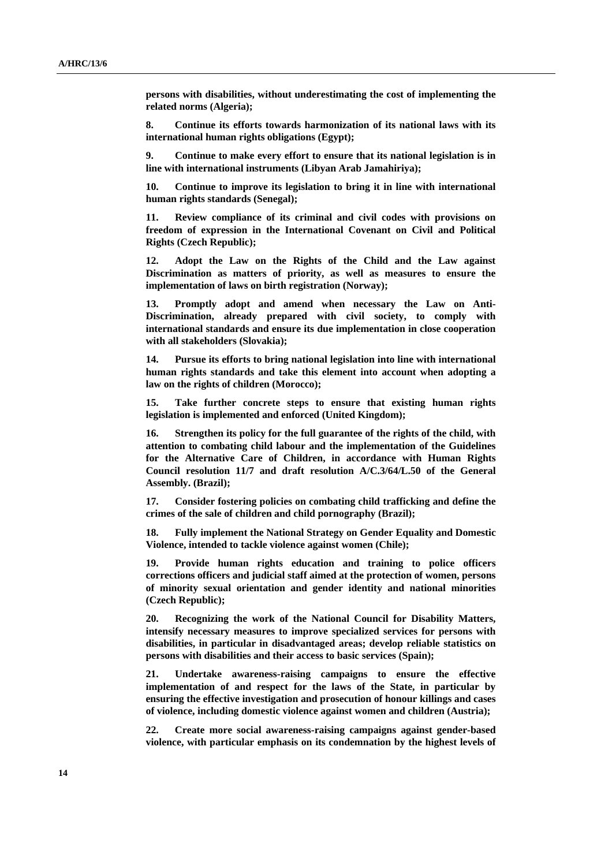**persons with disabilities, without underestimating the cost of implementing the related norms (Algeria);** 

**8. Continue its efforts towards harmonization of its national laws with its international human rights obligations (Egypt);** 

**9. Continue to make every effort to ensure that its national legislation is in line with international instruments (Libyan Arab Jamahiriya);** 

**10. Continue to improve its legislation to bring it in line with international human rights standards (Senegal);** 

**11. Review compliance of its criminal and civil codes with provisions on freedom of expression in the International Covenant on Civil and Political Rights (Czech Republic);** 

**12. Adopt the Law on the Rights of the Child and the Law against Discrimination as matters of priority, as well as measures to ensure the implementation of laws on birth registration (Norway);** 

**13. Promptly adopt and amend when necessary the Law on Anti-Discrimination, already prepared with civil society, to comply with international standards and ensure its due implementation in close cooperation with all stakeholders (Slovakia);** 

**14. Pursue its efforts to bring national legislation into line with international human rights standards and take this element into account when adopting a law on the rights of children (Morocco);** 

**15. Take further concrete steps to ensure that existing human rights legislation is implemented and enforced (United Kingdom);** 

**16. Strengthen its policy for the full guarantee of the rights of the child, with attention to combating child labour and the implementation of the Guidelines for the Alternative Care of Children, in accordance with Human Rights Council resolution 11/7 and draft resolution A/C.3/64/L.50 of the General Assembly. (Brazil);** 

**17. Consider fostering policies on combating child trafficking and define the crimes of the sale of children and child pornography (Brazil);** 

**18. Fully implement the National Strategy on Gender Equality and Domestic Violence, intended to tackle violence against women (Chile);** 

**19. Provide human rights education and training to police officers corrections officers and judicial staff aimed at the protection of women, persons of minority sexual orientation and gender identity and national minorities (Czech Republic);** 

**20. Recognizing the work of the National Council for Disability Matters, intensify necessary measures to improve specialized services for persons with disabilities, in particular in disadvantaged areas; develop reliable statistics on persons with disabilities and their access to basic services (Spain);** 

**21. Undertake awareness-raising campaigns to ensure the effective implementation of and respect for the laws of the State, in particular by ensuring the effective investigation and prosecution of honour killings and cases of violence, including domestic violence against women and children (Austria);** 

**22. Create more social awareness-raising campaigns against gender-based violence, with particular emphasis on its condemnation by the highest levels of**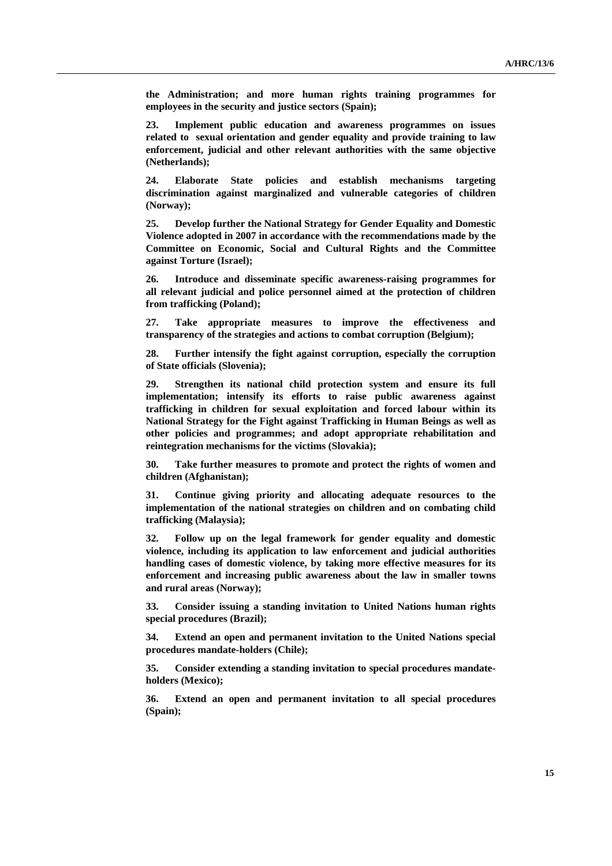**the Administration; and more human rights training programmes for employees in the security and justice sectors (Spain);** 

**23. Implement public education and awareness programmes on issues related to sexual orientation and gender equality and provide training to law enforcement, judicial and other relevant authorities with the same objective (Netherlands);** 

**24. Elaborate State policies and establish mechanisms targeting discrimination against marginalized and vulnerable categories of children (Norway);** 

**25. Develop further the National Strategy for Gender Equality and Domestic Violence adopted in 2007 in accordance with the recommendations made by the Committee on Economic, Social and Cultural Rights and the Committee against Torture (Israel);** 

**26. Introduce and disseminate specific awareness-raising programmes for all relevant judicial and police personnel aimed at the protection of children from trafficking (Poland);** 

**27. Take appropriate measures to improve the effectiveness and transparency of the strategies and actions to combat corruption (Belgium);** 

**28. Further intensify the fight against corruption, especially the corruption of State officials (Slovenia);** 

**29. Strengthen its national child protection system and ensure its full implementation; intensify its efforts to raise public awareness against trafficking in children for sexual exploitation and forced labour within its National Strategy for the Fight against Trafficking in Human Beings as well as other policies and programmes; and adopt appropriate rehabilitation and reintegration mechanisms for the victims (Slovakia);** 

**30. Take further measures to promote and protect the rights of women and children (Afghanistan);** 

**31. Continue giving priority and allocating adequate resources to the implementation of the national strategies on children and on combating child trafficking (Malaysia);** 

**32. Follow up on the legal framework for gender equality and domestic violence, including its application to law enforcement and judicial authorities handling cases of domestic violence, by taking more effective measures for its enforcement and increasing public awareness about the law in smaller towns and rural areas (Norway);** 

**33. Consider issuing a standing invitation to United Nations human rights special procedures (Brazil);** 

**34. Extend an open and permanent invitation to the United Nations special procedures mandate-holders (Chile);** 

**35. Consider extending a standing invitation to special procedures mandateholders (Mexico);** 

**36. Extend an open and permanent invitation to all special procedures (Spain);**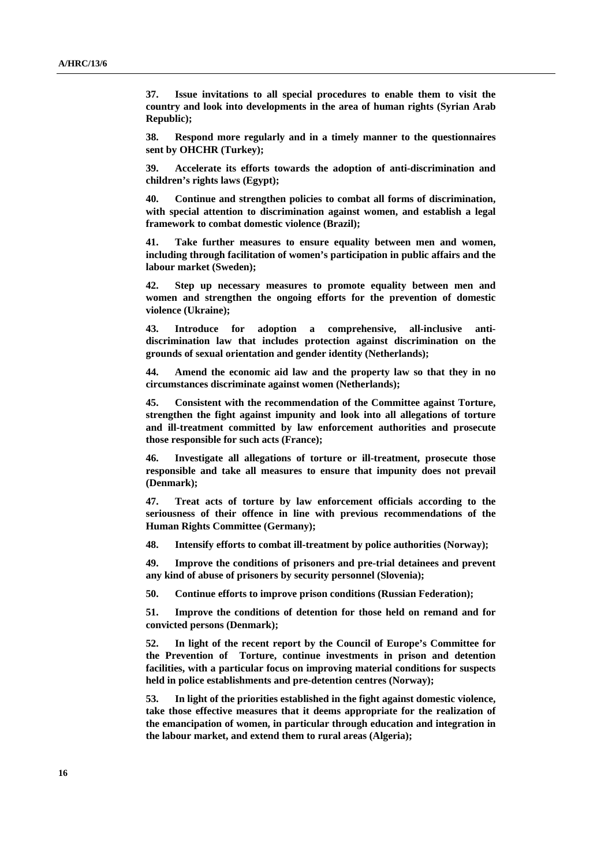**37. Issue invitations to all special procedures to enable them to visit the country and look into developments in the area of human rights (Syrian Arab Republic);** 

**38. Respond more regularly and in a timely manner to the questionnaires sent by OHCHR (Turkey);** 

**39. Accelerate its efforts towards the adoption of anti-discrimination and children's rights laws (Egypt);** 

**40. Continue and strengthen policies to combat all forms of discrimination, with special attention to discrimination against women, and establish a legal framework to combat domestic violence (Brazil);** 

**41. Take further measures to ensure equality between men and women, including through facilitation of women's participation in public affairs and the labour market (Sweden);** 

**42. Step up necessary measures to promote equality between men and women and strengthen the ongoing efforts for the prevention of domestic violence (Ukraine);** 

**43. Introduce for adoption a comprehensive, all-inclusive antidiscrimination law that includes protection against discrimination on the grounds of sexual orientation and gender identity (Netherlands);** 

**44. Amend the economic aid law and the property law so that they in no circumstances discriminate against women (Netherlands);** 

**45. Consistent with the recommendation of the Committee against Torture, strengthen the fight against impunity and look into all allegations of torture and ill-treatment committed by law enforcement authorities and prosecute those responsible for such acts (France);** 

**46. Investigate all allegations of torture or ill-treatment, prosecute those responsible and take all measures to ensure that impunity does not prevail (Denmark);** 

**47. Treat acts of torture by law enforcement officials according to the seriousness of their offence in line with previous recommendations of the Human Rights Committee (Germany);** 

**48. Intensify efforts to combat ill-treatment by police authorities (Norway);** 

**49. Improve the conditions of prisoners and pre-trial detainees and prevent any kind of abuse of prisoners by security personnel (Slovenia);** 

**50. Continue efforts to improve prison conditions (Russian Federation);** 

**51. Improve the conditions of detention for those held on remand and for convicted persons (Denmark);** 

**52. In light of the recent report by the Council of Europe's Committee for the Prevention of Torture, continue investments in prison and detention facilities, with a particular focus on improving material conditions for suspects held in police establishments and pre-detention centres (Norway);** 

**53. In light of the priorities established in the fight against domestic violence, take those effective measures that it deems appropriate for the realization of the emancipation of women, in particular through education and integration in the labour market, and extend them to rural areas (Algeria);**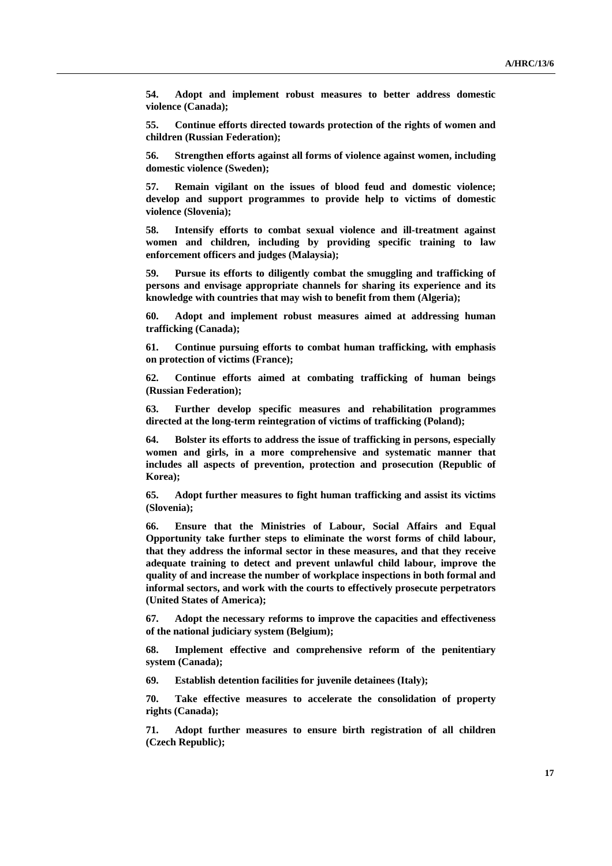**54. Adopt and implement robust measures to better address domestic violence (Canada);** 

**55. Continue efforts directed towards protection of the rights of women and children (Russian Federation);** 

**56. Strengthen efforts against all forms of violence against women, including domestic violence (Sweden);** 

**57. Remain vigilant on the issues of blood feud and domestic violence; develop and support programmes to provide help to victims of domestic violence (Slovenia);** 

**58. Intensify efforts to combat sexual violence and ill-treatment against women and children, including by providing specific training to law enforcement officers and judges (Malaysia);** 

**59. Pursue its efforts to diligently combat the smuggling and trafficking of persons and envisage appropriate channels for sharing its experience and its knowledge with countries that may wish to benefit from them (Algeria);** 

**60. Adopt and implement robust measures aimed at addressing human trafficking (Canada);** 

**61. Continue pursuing efforts to combat human trafficking, with emphasis on protection of victims (France);** 

**62. Continue efforts aimed at combating trafficking of human beings (Russian Federation);** 

**63. Further develop specific measures and rehabilitation programmes directed at the long-term reintegration of victims of trafficking (Poland);** 

**64. Bolster its efforts to address the issue of trafficking in persons, especially women and girls, in a more comprehensive and systematic manner that includes all aspects of prevention, protection and prosecution (Republic of Korea);** 

**65. Adopt further measures to fight human trafficking and assist its victims (Slovenia);** 

**66. Ensure that the Ministries of Labour, Social Affairs and Equal Opportunity take further steps to eliminate the worst forms of child labour, that they address the informal sector in these measures, and that they receive adequate training to detect and prevent unlawful child labour, improve the quality of and increase the number of workplace inspections in both formal and informal sectors, and work with the courts to effectively prosecute perpetrators (United States of America);** 

**67. Adopt the necessary reforms to improve the capacities and effectiveness of the national judiciary system (Belgium);** 

**68. Implement effective and comprehensive reform of the penitentiary system (Canada);** 

**69. Establish detention facilities for juvenile detainees (Italy);** 

**70. Take effective measures to accelerate the consolidation of property rights (Canada);** 

**71. Adopt further measures to ensure birth registration of all children (Czech Republic);**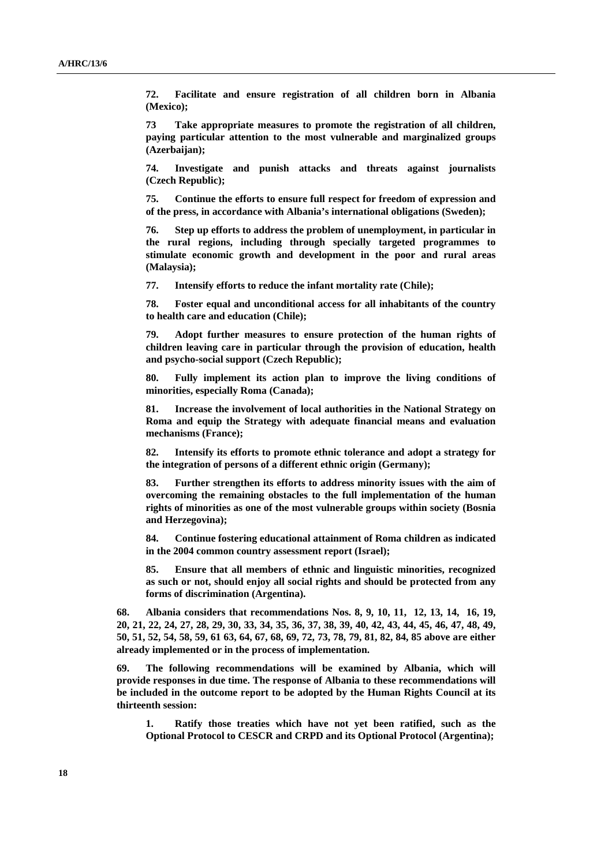**72. Facilitate and ensure registration of all children born in Albania (Mexico);** 

**73 Take appropriate measures to promote the registration of all children, paying particular attention to the most vulnerable and marginalized groups (Azerbaijan);** 

**74. Investigate and punish attacks and threats against journalists (Czech Republic);** 

**75. Continue the efforts to ensure full respect for freedom of expression and of the press, in accordance with Albania's international obligations (Sweden);** 

**76. Step up efforts to address the problem of unemployment, in particular in the rural regions, including through specially targeted programmes to stimulate economic growth and development in the poor and rural areas (Malaysia);** 

**77. Intensify efforts to reduce the infant mortality rate (Chile);** 

**78. Foster equal and unconditional access for all inhabitants of the country to health care and education (Chile);** 

**79. Adopt further measures to ensure protection of the human rights of children leaving care in particular through the provision of education, health and psycho-social support (Czech Republic);** 

**80. Fully implement its action plan to improve the living conditions of minorities, especially Roma (Canada);** 

**81. Increase the involvement of local authorities in the National Strategy on Roma and equip the Strategy with adequate financial means and evaluation mechanisms (France);** 

**82. Intensify its efforts to promote ethnic tolerance and adopt a strategy for the integration of persons of a different ethnic origin (Germany);** 

**83. Further strengthen its efforts to address minority issues with the aim of overcoming the remaining obstacles to the full implementation of the human rights of minorities as one of the most vulnerable groups within society (Bosnia and Herzegovina);** 

**84. Continue fostering educational attainment of Roma children as indicated in the 2004 common country assessment report (Israel);** 

**85. Ensure that all members of ethnic and linguistic minorities, recognized as such or not, should enjoy all social rights and should be protected from any forms of discrimination (Argentina).** 

**68. Albania considers that recommendations Nos. 8, 9, 10, 11, 12, 13, 14, 16, 19, 20, 21, 22, 24, 27, 28, 29, 30, 33, 34, 35, 36, 37, 38, 39, 40, 42, 43, 44, 45, 46, 47, 48, 49, 50, 51, 52, 54, 58, 59, 61 63, 64, 67, 68, 69, 72, 73, 78, 79, 81, 82, 84, 85 above are either already implemented or in the process of implementation.** 

**69. The following recommendations will be examined by Albania, which will provide responses in due time. The response of Albania to these recommendations will be included in the outcome report to be adopted by the Human Rights Council at its thirteenth session:** 

**1. Ratify those treaties which have not yet been ratified, such as the Optional Protocol to CESCR and CRPD and its Optional Protocol (Argentina);**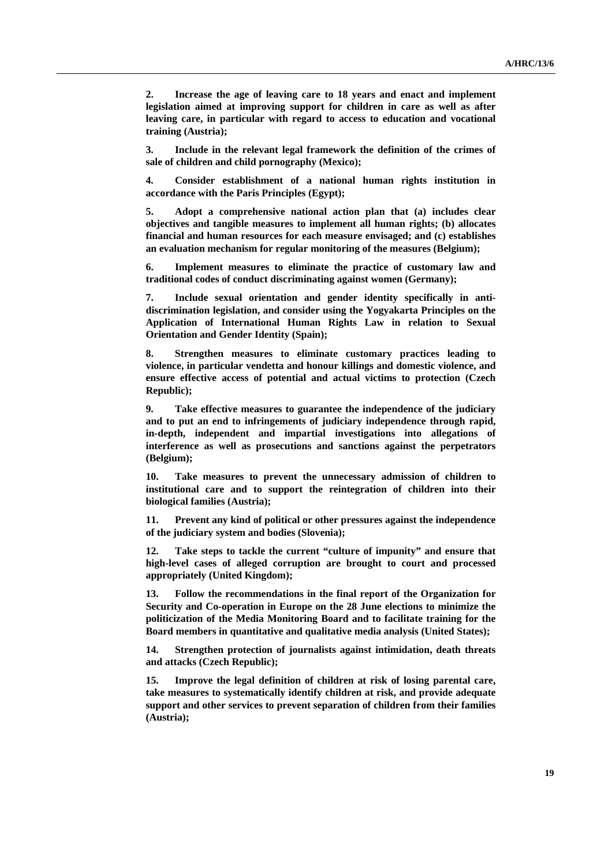**2. Increase the age of leaving care to 18 years and enact and implement legislation aimed at improving support for children in care as well as after leaving care, in particular with regard to access to education and vocational training (Austria);** 

**3. Include in the relevant legal framework the definition of the crimes of sale of children and child pornography (Mexico);** 

**4. Consider establishment of a national human rights institution in accordance with the Paris Principles (Egypt);** 

**5. Adopt a comprehensive national action plan that (a) includes clear objectives and tangible measures to implement all human rights; (b) allocates financial and human resources for each measure envisaged; and (c) establishes an evaluation mechanism for regular monitoring of the measures (Belgium);** 

**6. Implement measures to eliminate the practice of customary law and traditional codes of conduct discriminating against women (Germany);** 

**7. Include sexual orientation and gender identity specifically in antidiscrimination legislation, and consider using the Yogyakarta Principles on the Application of International Human Rights Law in relation to Sexual Orientation and Gender Identity (Spain);** 

**8. Strengthen measures to eliminate customary practices leading to violence, in particular vendetta and honour killings and domestic violence, and ensure effective access of potential and actual victims to protection (Czech Republic);** 

**9. Take effective measures to guarantee the independence of the judiciary and to put an end to infringements of judiciary independence through rapid, in-depth, independent and impartial investigations into allegations of interference as well as prosecutions and sanctions against the perpetrators (Belgium);** 

**10. Take measures to prevent the unnecessary admission of children to institutional care and to support the reintegration of children into their biological families (Austria);** 

**11. Prevent any kind of political or other pressures against the independence of the judiciary system and bodies (Slovenia);** 

**12. Take steps to tackle the current "culture of impunity" and ensure that high-level cases of alleged corruption are brought to court and processed appropriately (United Kingdom);** 

**13. Follow the recommendations in the final report of the Organization for Security and Co-operation in Europe on the 28 June elections to minimize the politicization of the Media Monitoring Board and to facilitate training for the Board members in quantitative and qualitative media analysis (United States);** 

**14. Strengthen protection of journalists against intimidation, death threats and attacks (Czech Republic);** 

**15. Improve the legal definition of children at risk of losing parental care, take measures to systematically identify children at risk, and provide adequate support and other services to prevent separation of children from their families (Austria);**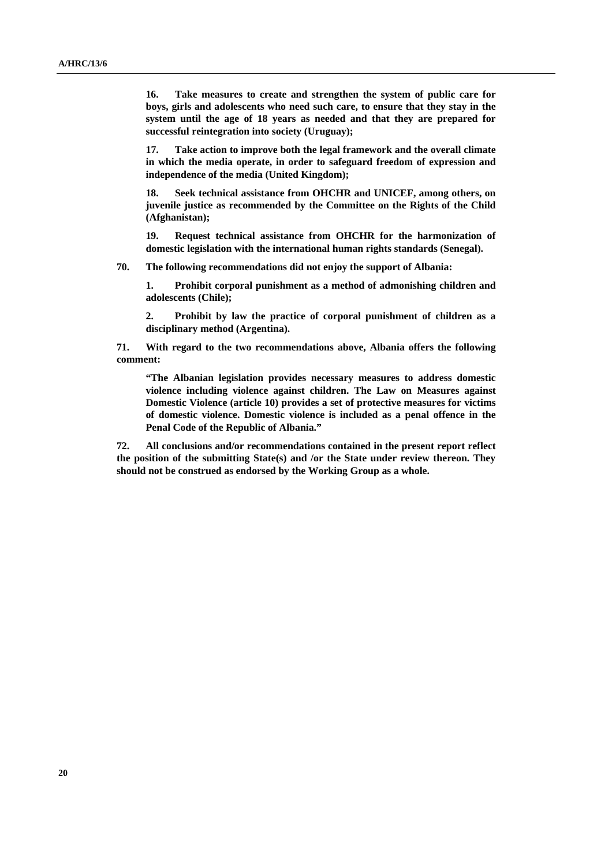**16. Take measures to create and strengthen the system of public care for boys, girls and adolescents who need such care, to ensure that they stay in the system until the age of 18 years as needed and that they are prepared for successful reintegration into society (Uruguay);** 

**17. Take action to improve both the legal framework and the overall climate in which the media operate, in order to safeguard freedom of expression and independence of the media (United Kingdom);** 

**18. Seek technical assistance from OHCHR and UNICEF, among others, on juvenile justice as recommended by the Committee on the Rights of the Child (Afghanistan);** 

**19. Request technical assistance from OHCHR for the harmonization of domestic legislation with the international human rights standards (Senegal).** 

**70. The following recommendations did not enjoy the support of Albania:** 

**1. Prohibit corporal punishment as a method of admonishing children and adolescents (Chile);** 

**2. Prohibit by law the practice of corporal punishment of children as a disciplinary method (Argentina).** 

**71. With regard to the two recommendations above, Albania offers the following comment:** 

**"The Albanian legislation provides necessary measures to address domestic violence including violence against children. The Law on Measures against Domestic Violence (article 10) provides a set of protective measures for victims of domestic violence. Domestic violence is included as a penal offence in the Penal Code of the Republic of Albania."** 

**72. All conclusions and/or recommendations contained in the present report reflect the position of the submitting State(s) and /or the State under review thereon. They should not be construed as endorsed by the Working Group as a whole.**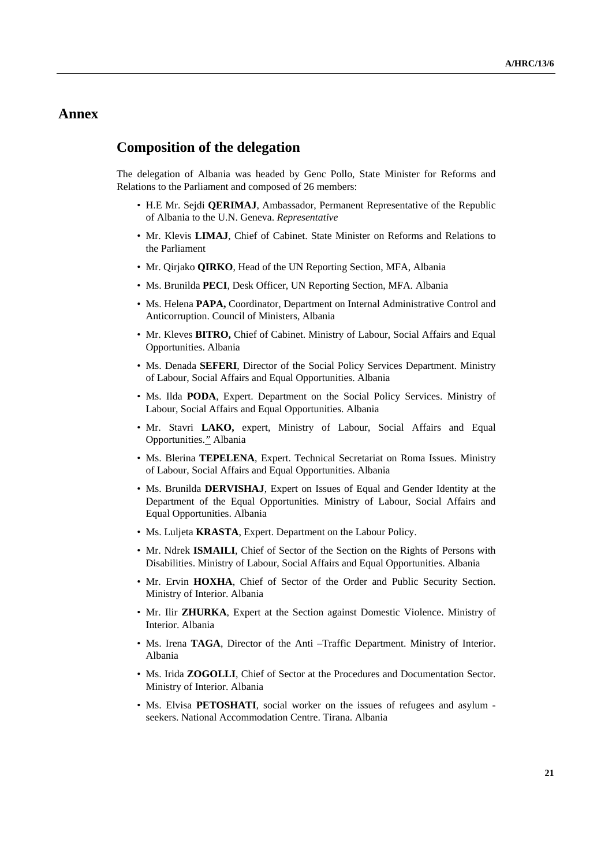### **Annex**

### **Composition of the delegation**

The delegation of Albania was headed by Genc Pollo, State Minister for Reforms and Relations to the Parliament and composed of 26 members:

- H.E Mr. Sejdi **QERIMAJ**, Ambassador, Permanent Representative of the Republic of Albania to the U.N. Geneva. *Representative*
- Mr. Klevis **LIMAJ**, Chief of Cabinet. State Minister on Reforms and Relations to the Parliament
- Mr. Qirjako **QIRKO**, Head of the UN Reporting Section, MFA, Albania
- Ms. Brunilda **PECI**, Desk Officer, UN Reporting Section, MFA. Albania
- Ms. Helena **PAPA,** Coordinator, Department on Internal Administrative Control and Anticorruption. Council of Ministers, Albania
- Mr. Kleves **BITRO,** Chief of Cabinet. Ministry of Labour, Social Affairs and Equal Opportunities. Albania
- Ms. Denada **SEFERI**, Director of the Social Policy Services Department. Ministry of Labour, Social Affairs and Equal Opportunities. Albania
- Ms. Ilda **PODA**, Expert. Department on the Social Policy Services. Ministry of Labour, Social Affairs and Equal Opportunities. Albania
- Mr. Stavri **LAKO,** expert, Ministry of Labour, Social Affairs and Equal Opportunities.*"* Albania
- Ms. Blerina **TEPELENA**, Expert. Technical Secretariat on Roma Issues. Ministry of Labour, Social Affairs and Equal Opportunities. Albania
- Ms. Brunilda **DERVISHAJ**, Expert on Issues of Equal and Gender Identity at the Department of the Equal Opportunities. Ministry of Labour, Social Affairs and Equal Opportunities. Albania
- Ms. Luljeta **KRASTA**, Expert. Department on the Labour Policy.
- Mr. Ndrek **ISMAILI**, Chief of Sector of the Section on the Rights of Persons with Disabilities. Ministry of Labour, Social Affairs and Equal Opportunities. Albania
- Mr. Ervin **HOXHA**, Chief of Sector of the Order and Public Security Section. Ministry of Interior. Albania
- Mr. Ilir **ZHURKA**, Expert at the Section against Domestic Violence. Ministry of Interior. Albania
- Ms. Irena **TAGA**, Director of the Anti –Traffic Department. Ministry of Interior. Albania
- Ms. Irida **ZOGOLLI**, Chief of Sector at the Procedures and Documentation Sector. Ministry of Interior. Albania
- Ms. Elvisa **PETOSHATI**, social worker on the issues of refugees and asylum seekers. National Accommodation Centre. Tirana. Albania